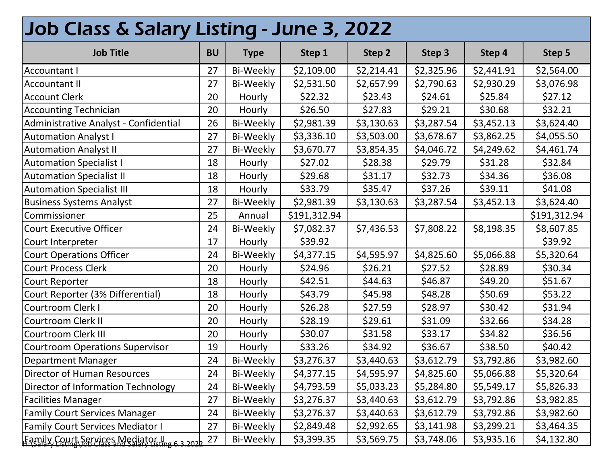| Job Class & Salary Listing - June 3, 2022     |           |                  |              |            |            |            |              |  |  |  |
|-----------------------------------------------|-----------|------------------|--------------|------------|------------|------------|--------------|--|--|--|
| <b>Job Title</b>                              | <b>BU</b> | <b>Type</b>      | Step 1       | Step 2     | Step 3     | Step 4     | Step 5       |  |  |  |
| <b>Accountant I</b>                           | 27        | Bi-Weekly        | \$2,109.00   | \$2,214.41 | \$2,325.96 | \$2,441.91 | \$2,564.00   |  |  |  |
| <b>Accountant II</b>                          | 27        | <b>Bi-Weekly</b> | \$2,531.50   | \$2,657.99 | \$2,790.63 | \$2,930.29 | \$3,076.98   |  |  |  |
| <b>Account Clerk</b>                          | 20        | Hourly           | \$22.32      | \$23.43    | \$24.61    | \$25.84    | \$27.12      |  |  |  |
| <b>Accounting Technician</b>                  | 20        | Hourly           | \$26.50      | \$27.83    | \$29.21    | \$30.68    | \$32.21      |  |  |  |
| Administrative Analyst - Confidential         | 26        | Bi-Weekly        | \$2,981.39   | \$3,130.63 | \$3,287.54 | \$3,452.13 | \$3,624.40   |  |  |  |
| <b>Automation Analyst I</b>                   | 27        | Bi-Weekly        | \$3,336.10   | \$3,503.00 | \$3,678.67 | \$3,862.25 | \$4,055.50   |  |  |  |
| <b>Automation Analyst II</b>                  | 27        | <b>Bi-Weekly</b> | \$3,670.77   | \$3,854.35 | \$4,046.72 | \$4,249.62 | \$4,461.74   |  |  |  |
| <b>Automation Specialist I</b>                | 18        | Hourly           | \$27.02      | \$28.38    | \$29.79    | \$31.28    | \$32.84      |  |  |  |
| <b>Automation Specialist II</b>               | 18        | Hourly           | \$29.68      | \$31.17    | \$32.73    | \$34.36    | \$36.08      |  |  |  |
| <b>Automation Specialist III</b>              | 18        | Hourly           | \$33.79      | \$35.47    | \$37.26    | \$39.11    | \$41.08      |  |  |  |
| <b>Business Systems Analyst</b>               | 27        | <b>Bi-Weekly</b> | \$2,981.39   | \$3,130.63 | \$3,287.54 | \$3,452.13 | \$3,624.40   |  |  |  |
| Commissioner                                  | 25        | Annual           | \$191,312.94 |            |            |            | \$191,312.94 |  |  |  |
| Court Executive Officer                       | 24        | Bi-Weekly        | \$7,082.37   | \$7,436.53 | \$7,808.22 | \$8,198.35 | \$8,607.85   |  |  |  |
| Court Interpreter                             | 17        | Hourly           | \$39.92      |            |            |            | \$39.92      |  |  |  |
| <b>Court Operations Officer</b>               | 24        | Bi-Weekly        | \$4,377.15   | \$4,595.97 | \$4,825.60 | \$5,066.88 | \$5,320.64   |  |  |  |
| <b>Court Process Clerk</b>                    | 20        | Hourly           | \$24.96      | \$26.21    | \$27.52    | \$28.89    | \$30.34      |  |  |  |
| Court Reporter                                | 18        | Hourly           | \$42.51      | \$44.63    | \$46.87    | \$49.20    | \$51.67      |  |  |  |
| Court Reporter (3% Differential)              | 18        | Hourly           | \$43.79      | \$45.98    | \$48.28    | \$50.69    | \$53.22      |  |  |  |
| Courtroom Clerk I                             | 20        | Hourly           | \$26.28      | \$27.59    | \$28.97    | \$30.42    | \$31.94      |  |  |  |
| Courtroom Clerk II                            | 20        | Hourly           | \$28.19      | \$29.61    | \$31.09    | \$32.66    | \$34.28      |  |  |  |
| Courtroom Clerk III                           | 20        | Hourly           | \$30.07      | \$31.58    | \$33.17    | \$34.82    | \$36.56      |  |  |  |
| <b>Courtroom Operations Supervisor</b>        | 19        | Hourly           | \$33.26      | \$34.92    | \$36.67    | \$38.50    | \$40.42      |  |  |  |
| Department Manager                            | 24        | <b>Bi-Weekly</b> | \$3,276.37   | \$3,440.63 | \$3,612.79 | \$3,792.86 | \$3,982.60   |  |  |  |
| Director of Human Resources                   | 24        | Bi-Weekly        | \$4,377.15   | \$4,595.97 | \$4,825.60 | \$5,066.88 | \$5,320.64   |  |  |  |
| Director of Information Technology            | 24        | Bi-Weekly        | \$4,793.59   | \$5,033.23 | \$5,284.80 | \$5,549.17 | \$5,826.33   |  |  |  |
| <b>Facilities Manager</b>                     | 27        | Bi-Weekly        | \$3,276.37   | \$3,440.63 | \$3,612.79 | \$3,792.86 | \$3,982.85   |  |  |  |
| <b>Family Court Services Manager</b>          | 24        | Bi-Weekly        | \$3,276.37   | \$3,440.63 | \$3,612.79 | \$3,792.86 | \$3,982.60   |  |  |  |
| <b>Family Court Services Mediator I</b>       | 27        | Bi-Weekly        | \$2,849.48   | \$2,992.65 | \$3,141.98 | \$3,299.21 | \$3,464.35   |  |  |  |
| Eamily, Court, Services Mediator. Il e 3 2022 | 27        | Bi-Weekly        | \$3,399.35   | \$3,569.75 | \$3,748.06 | \$3,935.16 | \$4,132.80   |  |  |  |